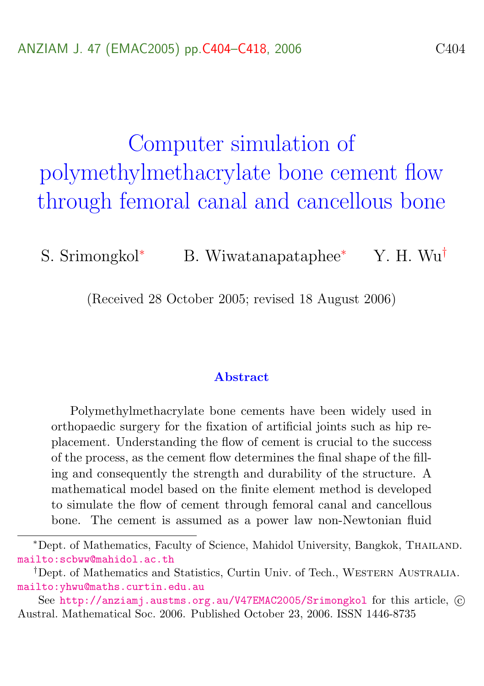# <span id="page-0-0"></span>Computer simulation of polymethylmethacrylate bone cement flow through femoral canal and cancellous bone

S. Srimongkol<sup>∗</sup> B. Wiwatanapataphee<sup>∗</sup> Y. H. Wu<sup>†</sup>

(Received 28 October 2005; revised 18 August 2006)

#### Abstract

Polymethylmethacrylate bone cements have been widely used in orthopaedic surgery for the fixation of artificial joints such as hip replacement. Understanding the flow of cement is crucial to the success of the process, as the cement flow determines the final shape of the filling and consequently the strength and durability of the structure. A mathematical model based on the finite element method is developed to simulate the flow of cement through femoral canal and cancellous bone. The cement is assumed as a power law non-Newtonian fluid

<sup>∗</sup>Dept. of Mathematics, Faculty of Science, Mahidol University, Bangkok, Thailand. <mailto:scbww@mahidol.ac.th>

<sup>&</sup>lt;sup>†</sup>Dept. of Mathematics and Statistics, Curtin Univ. of Tech., WESTERN AUSTRALIA. <mailto:yhwu@maths.curtin.edu.au>

See <http://anziamj.austms.org.au/V47EMAC2005/Srimongkol> for this article,  $\odot$ Austral. Mathematical Soc. 2006. Published October 23, 2006. ISSN 1446-8735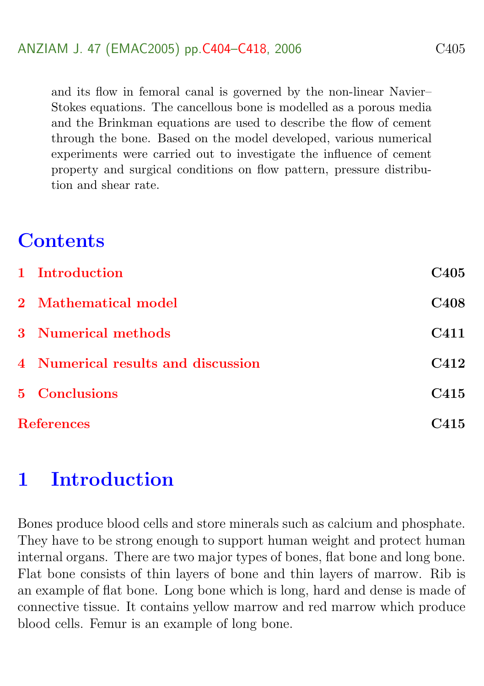and its flow in femoral canal is governed by the non-linear Navier– Stokes equations. The cancellous bone is modelled as a porous media and the Brinkman equations are used to describe the flow of cement through the bone. Based on the model developed, various numerical experiments were carried out to investigate the influence of cement property and surgical conditions on flow pattern, pressure distribution and shear rate.

# **Contents**

|                   | 1 Introduction                     | C <sub>405</sub> |
|-------------------|------------------------------------|------------------|
|                   | 2 Mathematical model               | <b>C408</b>      |
|                   | 3 Numerical methods                | C411             |
|                   | 4 Numerical results and discussion | C412             |
|                   | 5 Conclusions                      | C415             |
| <b>References</b> |                                    | C415             |

# <span id="page-1-0"></span>1 Introduction

Bones produce blood cells and store minerals such as calcium and phosphate. They have to be strong enough to support human weight and protect human internal organs. There are two major types of bones, flat bone and long bone. Flat bone consists of thin layers of bone and thin layers of marrow. Rib is an example of flat bone. Long bone which is long, hard and dense is made of connective tissue. It contains yellow marrow and red marrow which produce blood cells. Femur is an example of long bone.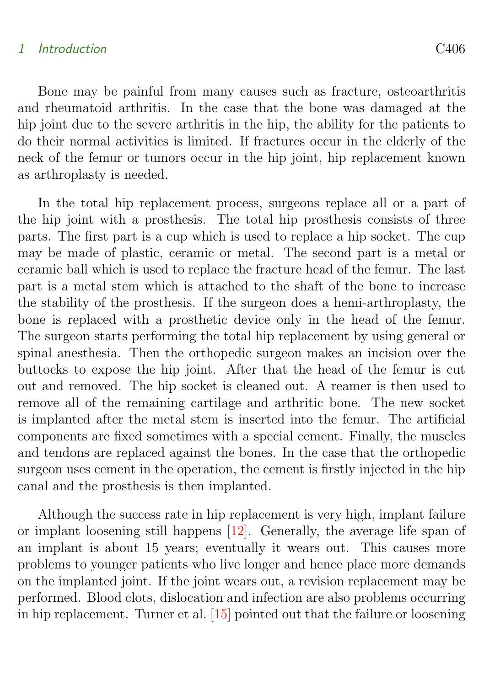#### <span id="page-2-0"></span>1 Introduction C406

Bone may be painful from many causes such as fracture, osteoarthritis and rheumatoid arthritis. In the case that the bone was damaged at the hip joint due to the severe arthritis in the hip, the ability for the patients to do their normal activities is limited. If fractures occur in the elderly of the neck of the femur or tumors occur in the hip joint, hip replacement known as arthroplasty is needed.

In the total hip replacement process, surgeons replace all or a part of the hip joint with a prosthesis. The total hip prosthesis consists of three parts. The first part is a cup which is used to replace a hip socket. The cup may be made of plastic, ceramic or metal. The second part is a metal or ceramic ball which is used to replace the fracture head of the femur. The last part is a metal stem which is attached to the shaft of the bone to increase the stability of the prosthesis. If the surgeon does a hemi-arthroplasty, the bone is replaced with a prosthetic device only in the head of the femur. The surgeon starts performing the total hip replacement by using general or spinal anesthesia. Then the orthopedic surgeon makes an incision over the buttocks to expose the hip joint. After that the head of the femur is cut out and removed. The hip socket is cleaned out. A reamer is then used to remove all of the remaining cartilage and arthritic bone. The new socket is implanted after the metal stem is inserted into the femur. The artificial components are fixed sometimes with a special cement. Finally, the muscles and tendons are replaced against the bones. In the case that the orthopedic surgeon uses cement in the operation, the cement is firstly injected in the hip canal and the prosthesis is then implanted.

Although the success rate in hip replacement is very high, implant failure or implant loosening still happens [\[12\]](#page-14-0). Generally, the average life span of an implant is about 15 years; eventually it wears out. This causes more problems to younger patients who live longer and hence place more demands on the implanted joint. If the joint wears out, a revision replacement may be performed. Blood clots, dislocation and infection are also problems occurring in hip replacement. Turner et al. [\[15\]](#page-14-1) pointed out that the failure or loosening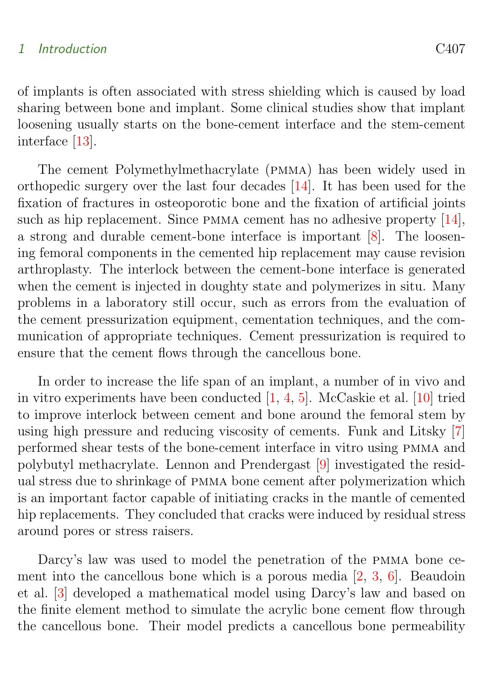#### <span id="page-3-0"></span>1 Introduction C407

of implants is often associated with stress shielding which is caused by load sharing between bone and implant. Some clinical studies show that implant loosening usually starts on the bone-cement interface and the stem-cement interface [\[13\]](#page-14-2).

The cement Polymethylmethacrylate (pmma) has been widely used in orthopedic surgery over the last four decades [\[14\]](#page-14-3). It has been used for the fixation of fractures in osteoporotic bone and the fixation of artificial joints such as hip replacement. Since PMMA cement has no adhesive property [\[14\]](#page-14-3), a strong and durable cement-bone interface is important [\[8\]](#page-13-0). The loosening femoral components in the cemented hip replacement may cause revision arthroplasty. The interlock between the cement-bone interface is generated when the cement is injected in doughty state and polymerizes in situ. Many problems in a laboratory still occur, such as errors from the evaluation of the cement pressurization equipment, cementation techniques, and the communication of appropriate techniques. Cement pressurization is required to ensure that the cement flows through the cancellous bone.

In order to increase the life span of an implant, a number of in vivo and in vitro experiments have been conducted [\[1,](#page-11-2) [4,](#page-13-1) [5\]](#page-13-2). McCaskie et al. [\[10\]](#page-14-4) tried to improve interlock between cement and bone around the femoral stem by using high pressure and reducing viscosity of cements. Funk and Litsky [\[7\]](#page-13-3) performed shear tests of the bone-cement interface in vitro using pmma and polybutyl methacrylate. Lennon and Prendergast [\[9\]](#page-13-4) investigated the residual stress due to shrinkage of pmma bone cement after polymerization which is an important factor capable of initiating cracks in the mantle of cemented hip replacements. They concluded that cracks were induced by residual stress around pores or stress raisers.

Darcy's law was used to model the penetration of the pmma bone cement into the cancellous bone which is a porous media [\[2,](#page-13-5) [3,](#page-13-6) [6\]](#page-13-7). Beaudoin et al. [\[3\]](#page-13-6) developed a mathematical model using Darcy's law and based on the finite element method to simulate the acrylic bone cement flow through the cancellous bone. Their model predicts a cancellous bone permeability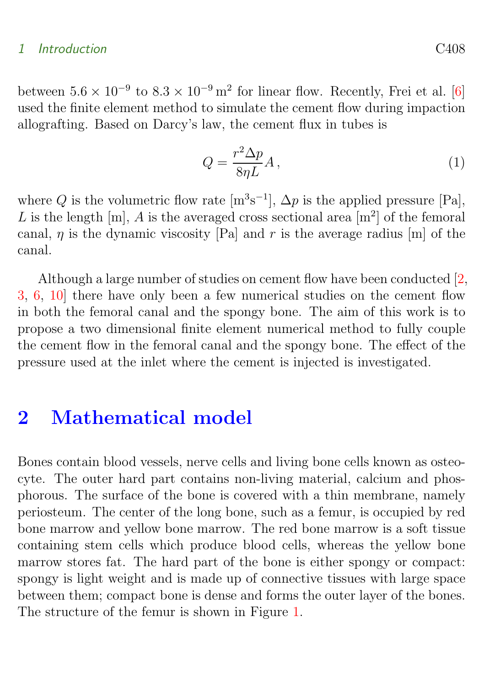#### <span id="page-4-1"></span>1 Introduction C408

between  $5.6 \times 10^{-9}$  to  $8.3 \times 10^{-9}$  m<sup>2</sup> for linear flow. Recently, Frei et al. [\[6\]](#page-13-7) used the finite element method to simulate the cement flow during impaction allografting. Based on Darcy's law, the cement flux in tubes is

$$
Q = \frac{r^2 \Delta p}{8\eta L} A, \qquad (1)
$$

where Q is the volumetric flow rate  $[m<sup>3</sup>s<sup>-1</sup>]$ ,  $\Delta p$  is the applied pressure [Pa], L is the length  $[m], A$  is the averaged cross sectional area  $[m^2]$  of the femoral canal, *n* is the dynamic viscosity [Pa] and *r* is the average radius [m] of the canal.

Although a large number of studies on cement flow have been conducted [\[2,](#page-13-5) [3,](#page-13-6) [6,](#page-13-7) [10\]](#page-14-4) there have only been a few numerical studies on the cement flow in both the femoral canal and the spongy bone. The aim of this work is to propose a two dimensional finite element numerical method to fully couple the cement flow in the femoral canal and the spongy bone. The effect of the pressure used at the inlet where the cement is injected is investigated.

### <span id="page-4-0"></span>2 Mathematical model

Bones contain blood vessels, nerve cells and living bone cells known as osteocyte. The outer hard part contains non-living material, calcium and phosphorous. The surface of the bone is covered with a thin membrane, namely periosteum. The center of the long bone, such as a femur, is occupied by red bone marrow and yellow bone marrow. The red bone marrow is a soft tissue containing stem cells which produce blood cells, whereas the yellow bone marrow stores fat. The hard part of the bone is either spongy or compact: spongy is light weight and is made up of connective tissues with large space between them; compact bone is dense and forms the outer layer of the bones. The structure of the femur is shown in Figure [1.](#page-5-0)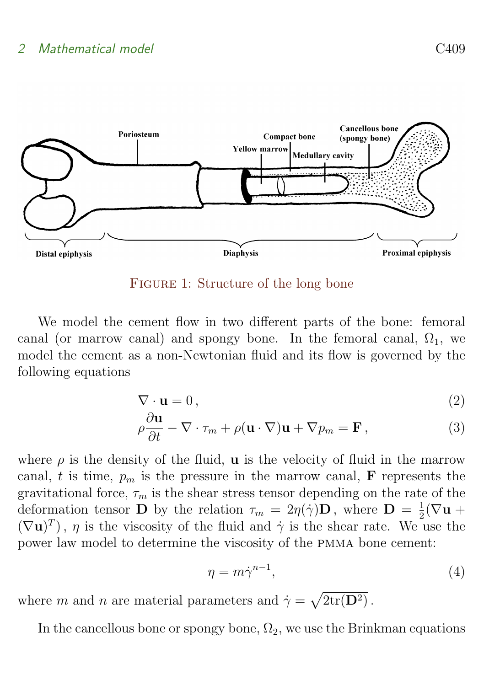

<span id="page-5-0"></span>Figure 1: Structure of the long bone

We model the cement flow in two different parts of the bone: femoral canal (or marrow canal) and spongy bone. In the femoral canal,  $\Omega_1$ , we model the cement as a non-Newtonian fluid and its flow is governed by the following equations

$$
\nabla \cdot \mathbf{u} = 0,\tag{2}
$$

<span id="page-5-1"></span>
$$
\rho \frac{\partial \mathbf{u}}{\partial t} - \nabla \cdot \tau_m + \rho (\mathbf{u} \cdot \nabla) \mathbf{u} + \nabla p_m = \mathbf{F},
$$
\n(3)

where  $\rho$  is the density of the fluid, **u** is the velocity of fluid in the marrow canal, t is time,  $p_m$  is the pressure in the marrow canal, **F** represents the gravitational force,  $\tau_m$  is the shear stress tensor depending on the rate of the deformation tensor **D** by the relation  $\tau_m = 2\eta(\dot{\gamma})\mathbf{D}$ , where  $\mathbf{D} = \frac{1}{2}$  $\frac{1}{2}(\nabla \mathbf{u} +$  $(\nabla \mathbf{u})^T$ ,  $\eta$  is the viscosity of the fluid and  $\dot{\gamma}$  is the shear rate. We use the power law model to determine the viscosity of the pmma bone cement:

$$
\eta = m\dot{\gamma}^{n-1},\tag{4}
$$

where m and n are material parameters and  $\dot{\gamma} = \sqrt{2tr(D^2)}$ .

In the cancellous bone or spongy bone,  $\Omega_2$ , we use the Brinkman equations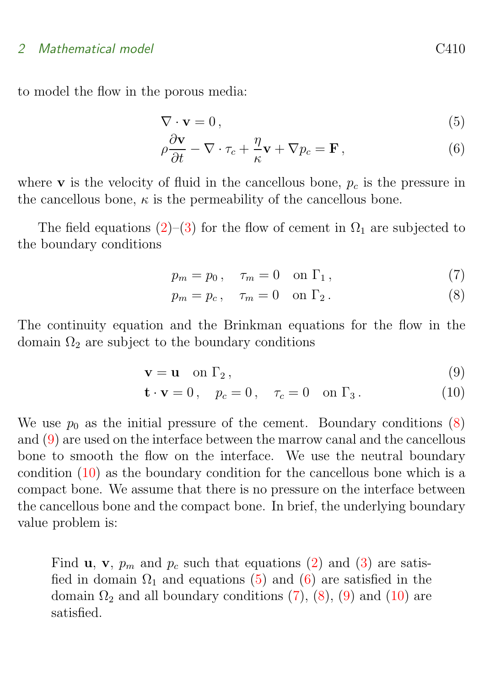#### 2 Mathematical model C410

to model the flow in the porous media:

$$
\nabla \cdot \mathbf{v} = 0, \tag{5}
$$

<span id="page-6-2"></span>
$$
\rho \frac{\partial \mathbf{v}}{\partial t} - \nabla \cdot \tau_c + \frac{\eta}{\kappa} \mathbf{v} + \nabla p_c = \mathbf{F},\qquad(6)
$$

where **v** is the velocity of fluid in the cancellous bone,  $p_c$  is the pressure in the cancellous bone,  $\kappa$  is the permeability of the cancellous bone.

The field equations [\(2\)](#page-5-1)–[\(3\)](#page-5-1) for the flow of cement in  $\Omega_1$  are subjected to the boundary conditions

$$
p_m = p_0, \quad \tau_m = 0 \quad \text{on } \Gamma_1,\tag{7}
$$

<span id="page-6-0"></span>
$$
p_m = p_c, \quad \tau_m = 0 \quad \text{on } \Gamma_2. \tag{8}
$$

The continuity equation and the Brinkman equations for the flow in the domain  $\Omega_2$  are subject to the boundary conditions

$$
\mathbf{v} = \mathbf{u} \quad \text{on } \Gamma_2 \,, \tag{9}
$$

<span id="page-6-1"></span>
$$
\mathbf{t} \cdot \mathbf{v} = 0, \quad p_c = 0, \quad \tau_c = 0 \quad \text{on } \Gamma_3. \tag{10}
$$

We use  $p_0$  as the initial pressure of the cement. Boundary conditions [\(8\)](#page-6-0) and [\(9\)](#page-6-1) are used on the interface between the marrow canal and the cancellous bone to smooth the flow on the interface. We use the neutral boundary condition [\(10\)](#page-6-1) as the boundary condition for the cancellous bone which is a compact bone. We assume that there is no pressure on the interface between the cancellous bone and the compact bone. In brief, the underlying boundary value problem is:

Find **u**, **v**,  $p_m$  and  $p_c$  such that equations [\(2\)](#page-5-1) and [\(3\)](#page-5-1) are satisfied in domain  $\Omega_1$  and equations [\(5\)](#page-6-2) and [\(6\)](#page-6-2) are satisfied in the domain  $\Omega_2$  and all boundary conditions [\(7\)](#page-6-0), [\(8\)](#page-6-0), [\(9\)](#page-6-1) and [\(10\)](#page-6-1) are satisfied.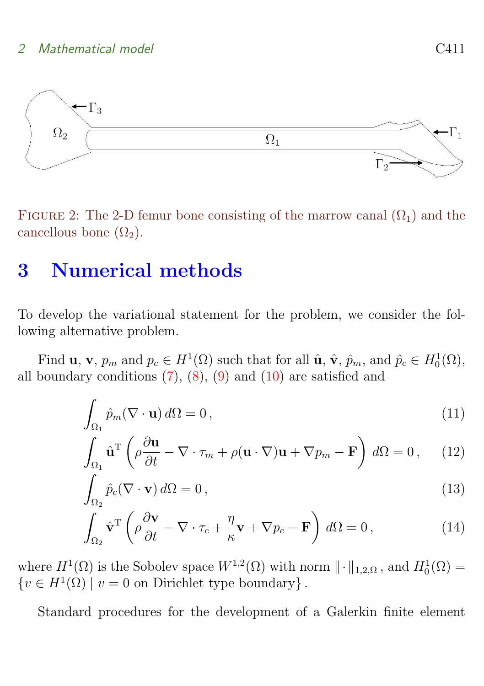#### 2 Mathematical model C411



FIGURE 2: The 2-D femur bone consisting of the marrow canal  $(\Omega_1)$  and the cancellous bone  $(\Omega_2)$ .

# <span id="page-7-0"></span>3 Numerical methods

To develop the variational statement for the problem, we consider the following alternative problem.

Find **u**, **v**,  $p_m$  and  $p_c \in H^1(\Omega)$  such that for all  $\hat{\mathbf{u}}$ ,  $\hat{\mathbf{v}}$ ,  $\hat{p}_m$ , and  $\hat{p}_c \in H_0^1(\Omega)$ , all boundary conditions  $(7)$ ,  $(8)$ ,  $(9)$  and  $(10)$  are satisfied and

$$
\int_{\Omega_1} \hat{p}_m (\nabla \cdot \mathbf{u}) \, d\Omega = 0, \tag{11}
$$

$$
\int_{\Omega_1} \hat{\mathbf{u}}^{\mathrm{T}} \left( \rho \frac{\partial \mathbf{u}}{\partial t} - \nabla \cdot \tau_m + \rho (\mathbf{u} \cdot \nabla) \mathbf{u} + \nabla p_m - \mathbf{F} \right) d\Omega = 0, \quad (12)
$$

$$
\int_{\Omega_2} \hat{p}_c(\nabla \cdot \mathbf{v}) \, d\Omega = 0,\tag{13}
$$

$$
\int_{\Omega_2} \hat{\mathbf{v}}^{\mathrm{T}} \left( \rho \frac{\partial \mathbf{v}}{\partial t} - \nabla \cdot \tau_c + \frac{\eta}{\kappa} \mathbf{v} + \nabla p_c - \mathbf{F} \right) d\Omega = 0, \qquad (14)
$$

where  $H^1(\Omega)$  is the Sobolev space  $W^{1,2}(\Omega)$  with norm  $\|\cdot\|_{1,2,\Omega}$ , and  $H_0^1(\Omega)$  =  $\{v \in H^1(\Omega) \mid v = 0$  on Dirichlet type boundary }.

Standard procedures for the development of a Galerkin finite element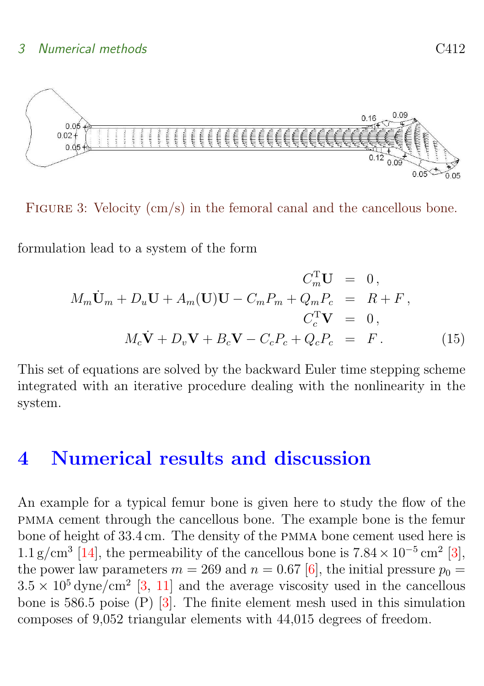<span id="page-8-2"></span>

FIGURE 3: Velocity (cm/s) in the femoral canal and the cancellous bone.

formulation lead to a system of the form

<span id="page-8-1"></span>
$$
C_m^{\mathrm{T}} \mathbf{U} = 0,
$$
  
\n
$$
M_m \dot{\mathbf{U}}_m + D_u \mathbf{U} + A_m(\mathbf{U}) \mathbf{U} - C_m P_m + Q_m P_c = R + F,
$$
  
\n
$$
C_c^{\mathrm{T}} \mathbf{V} = 0,
$$
  
\n
$$
M_c \dot{\mathbf{V}} + D_v \mathbf{V} + B_c \mathbf{V} - C_c P_c + Q_c P_c = F.
$$
\n(15)

This set of equations are solved by the backward Euler time stepping scheme integrated with an iterative procedure dealing with the nonlinearity in the system.

# <span id="page-8-0"></span>4 Numerical results and discussion

An example for a typical femur bone is given here to study the flow of the pmma cement through the cancellous bone. The example bone is the femur bone of height of 33.4 cm. The density of the pmma bone cement used here is  $1.1 \text{ g/cm}^3$  [\[14\]](#page-14-3), the permeability of the cancellous bone is  $7.84 \times 10^{-5} \text{ cm}^2$  [\[3\]](#page-13-6), the power law parameters  $m = 269$  and  $n = 0.67$  [\[6\]](#page-13-7), the initial pressure  $p_0 =$  $3.5 \times 10^5$  dyne/cm<sup>2</sup> [\[3,](#page-13-6) [11\]](#page-14-5) and the average viscosity used in the cancellous bone is 586.5 poise (P) [\[3\]](#page-13-6). The finite element mesh used in this simulation composes of 9,052 triangular elements with 44,015 degrees of freedom.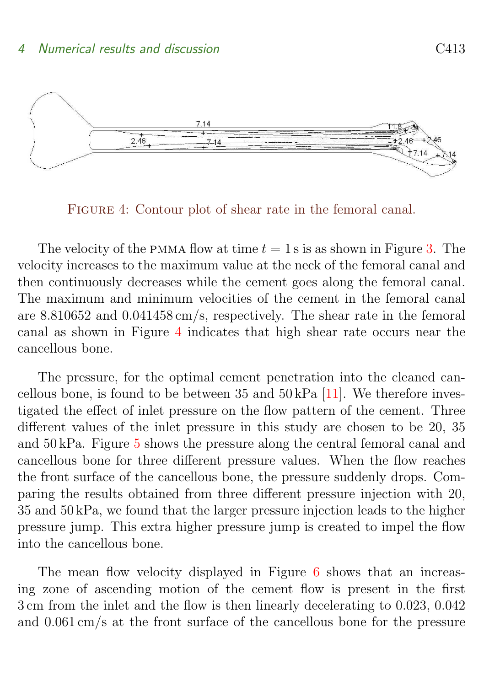<span id="page-9-1"></span>

<span id="page-9-0"></span>FIGURE 4: Contour plot of shear rate in the femoral canal.

The velocity of the PMMA flow at time  $t = 1$  s is as shown in Figure [3.](#page-8-1) The velocity increases to the maximum value at the neck of the femoral canal and then continuously decreases while the cement goes along the femoral canal. The maximum and minimum velocities of the cement in the femoral canal are 8.810652 and 0.041458 cm/s, respectively. The shear rate in the femoral canal as shown in Figure [4](#page-9-0) indicates that high shear rate occurs near the cancellous bone.

The pressure, for the optimal cement penetration into the cleaned cancellous bone, is found to be between  $35$  and  $50 \text{ kPa}$  [\[11\]](#page-14-5). We therefore investigated the effect of inlet pressure on the flow pattern of the cement. Three different values of the inlet pressure in this study are chosen to be 20, 35 and 50 kPa. Figure [5](#page-10-0) shows the pressure along the central femoral canal and cancellous bone for three different pressure values. When the flow reaches the front surface of the cancellous bone, the pressure suddenly drops. Comparing the results obtained from three different pressure injection with 20, 35 and 50 kPa, we found that the larger pressure injection leads to the higher pressure jump. This extra higher pressure jump is created to impel the flow into the cancellous bone.

The mean flow velocity displayed in Figure [6](#page-12-0) shows that an increasing zone of ascending motion of the cement flow is present in the first 3 cm from the inlet and the flow is then linearly decelerating to 0.023, 0.042 and 0.061 cm/s at the front surface of the cancellous bone for the pressure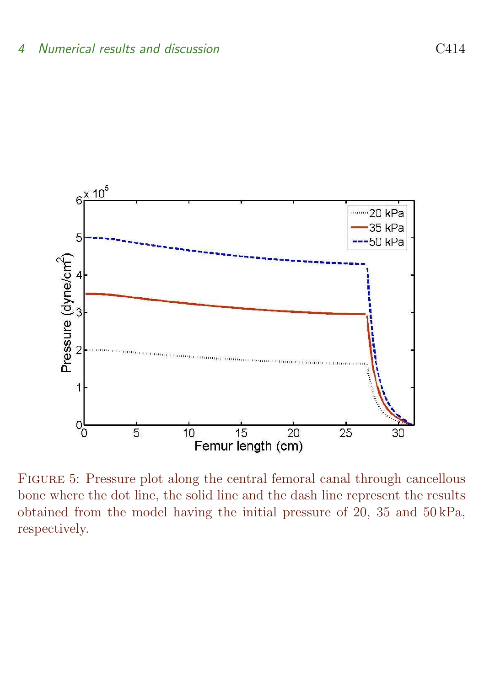

<span id="page-10-0"></span>Figure 5: Pressure plot along the central femoral canal through cancellous bone where the dot line, the solid line and the dash line represent the results obtained from the model having the initial pressure of 20, 35 and 50 kPa, respectively.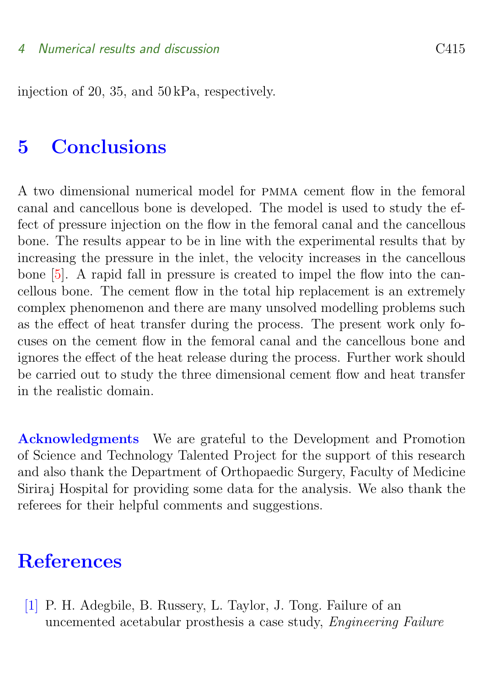<span id="page-11-3"></span>injection of 20, 35, and 50 kPa, respectively.

### <span id="page-11-1"></span>5 Conclusions

A two dimensional numerical model for pmma cement flow in the femoral canal and cancellous bone is developed. The model is used to study the effect of pressure injection on the flow in the femoral canal and the cancellous bone. The results appear to be in line with the experimental results that by increasing the pressure in the inlet, the velocity increases in the cancellous bone [\[5\]](#page-13-2). A rapid fall in pressure is created to impel the flow into the cancellous bone. The cement flow in the total hip replacement is an extremely complex phenomenon and there are many unsolved modelling problems such as the effect of heat transfer during the process. The present work only focuses on the cement flow in the femoral canal and the cancellous bone and ignores the effect of the heat release during the process. Further work should be carried out to study the three dimensional cement flow and heat transfer in the realistic domain.

Acknowledgments We are grateful to the Development and Promotion of Science and Technology Talented Project for the support of this research and also thank the Department of Orthopaedic Surgery, Faculty of Medicine Siriraj Hospital for providing some data for the analysis. We also thank the referees for their helpful comments and suggestions.

### **References**

<span id="page-11-2"></span><span id="page-11-0"></span>[1] P. H. Adegbile, B. Russery, L. Taylor, J. Tong. Failure of an uncemented acetabular prosthesis a case study, Engineering Failure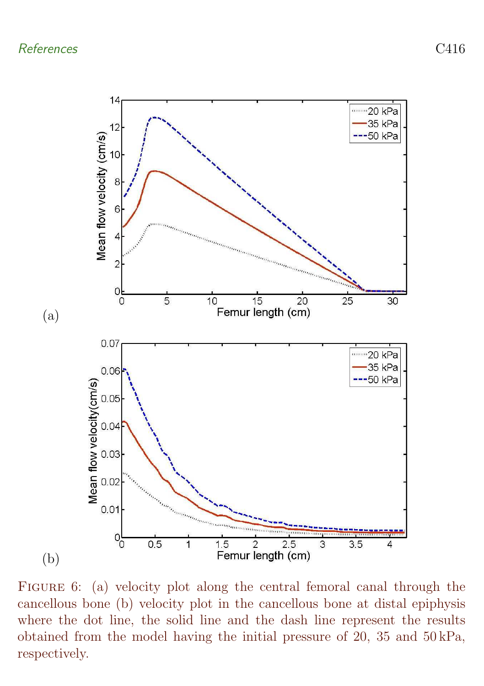

<span id="page-12-0"></span>FIGURE 6: (a) velocity plot along the central femoral canal through the cancellous bone (b) velocity plot in the cancellous bone at distal epiphysis where the dot line, the solid line and the dash line represent the results obtained from the model having the initial pressure of 20, 35 and 50 kPa, respectively.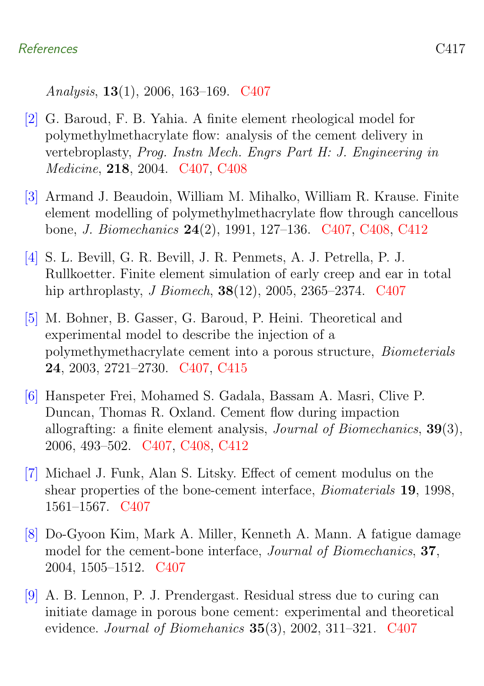Analysis, 13(1), 2006, 163–169. [C407](#page-3-0)

- <span id="page-13-5"></span>[2] G. Baroud, F. B. Yahia. A finite element rheological model for polymethylmethacrylate flow: analysis of the cement delivery in vertebroplasty, Prog. Instn Mech. Engrs Part H: J. Engineering in Medicine, 218, 2004. [C407,](#page-3-0) [C408](#page-4-1)
- <span id="page-13-6"></span>[3] Armand J. Beaudoin, William M. Mihalko, William R. Krause. Finite element modelling of polymethylmethacrylate flow through cancellous bone, J. Biomechanics 24(2), 1991, 127–136. [C407,](#page-3-0) [C408,](#page-4-1) [C412](#page-8-2)
- <span id="page-13-1"></span>[4] S. L. Bevill, G. R. Bevill, J. R. Penmets, A. J. Petrella, P. J. Rullkoetter. Finite element simulation of early creep and ear in total hip arthroplasty, *J Biomech*, **38**(12), 2005, 2365–2374. [C407](#page-3-0)
- <span id="page-13-2"></span>[5] M. Bohner, B. Gasser, G. Baroud, P. Heini. Theoretical and experimental model to describe the injection of a polymethymethacrylate cement into a porous structure, Biometerials 24, 2003, 2721–2730. [C407,](#page-3-0) [C415](#page-11-3)
- <span id="page-13-7"></span>[6] Hanspeter Frei, Mohamed S. Gadala, Bassam A. Masri, Clive P. Duncan, Thomas R. Oxland. Cement flow during impaction allografting: a finite element analysis, Journal of Biomechanics, 39(3), 2006, 493–502. [C407,](#page-3-0) [C408,](#page-4-1) [C412](#page-8-2)
- <span id="page-13-3"></span>[7] Michael J. Funk, Alan S. Litsky. Effect of cement modulus on the shear properties of the bone-cement interface, Biomaterials 19, 1998, 1561–1567. [C407](#page-3-0)
- <span id="page-13-0"></span>[8] Do-Gyoon Kim, Mark A. Miller, Kenneth A. Mann. A fatigue damage model for the cement-bone interface, Journal of Biomechanics, 37, 2004, 1505–1512. [C407](#page-3-0)
- <span id="page-13-4"></span>[9] A. B. Lennon, P. J. Prendergast. Residual stress due to curing can initiate damage in porous bone cement: experimental and theoretical evidence. Journal of Biomehanics 35(3), 2002, 311–321. [C407](#page-3-0)